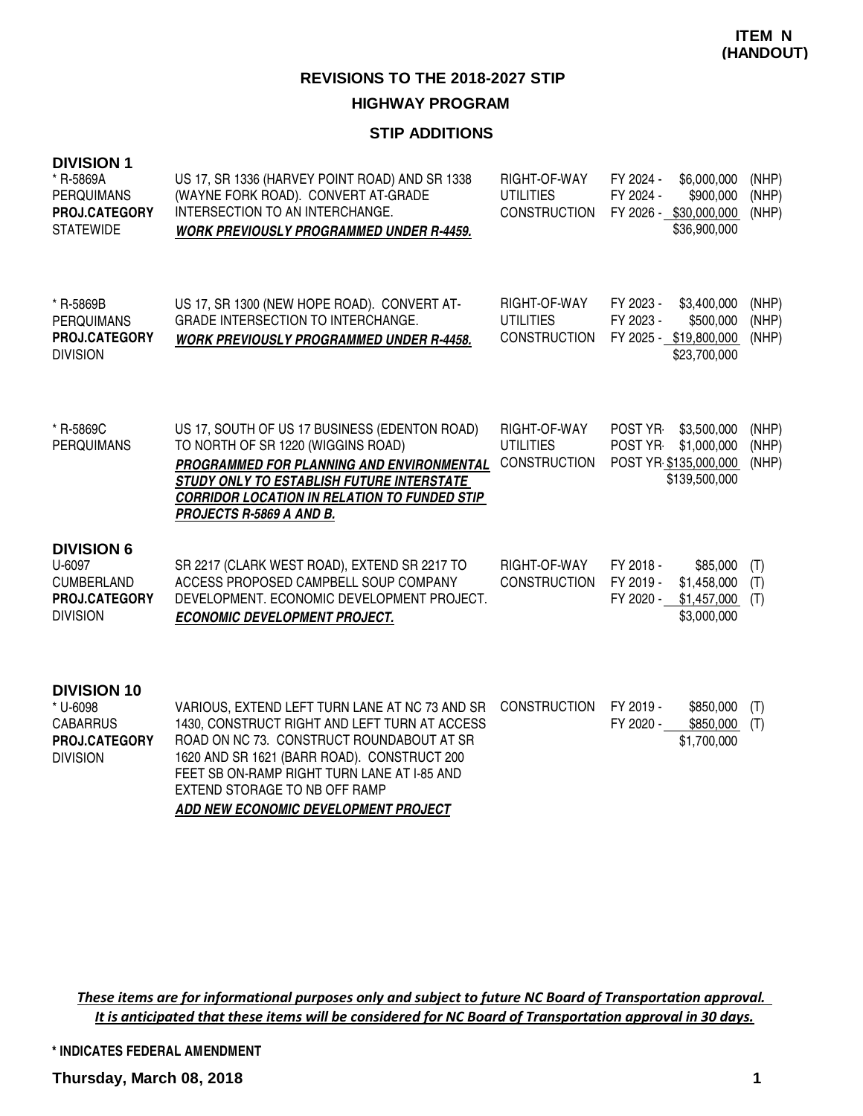## **HIGHWAY PROGRAM**

#### **STIP ADDITIONS**

| <b>DIVISION 1</b><br>* R-5869A<br><b>PERQUIMANS</b><br>PROJ.CATEGORY<br><b>STATEWIDE</b> | US 17, SR 1336 (HARVEY POINT ROAD) AND SR 1338<br>(WAYNE FORK ROAD). CONVERT AT-GRADE<br>INTERSECTION TO AN INTERCHANGE.<br><b>WORK PREVIOUSLY PROGRAMMED UNDER R-4459.</b>                                                                                                 | RIGHT-OF-WAY<br><b>UTILITIES</b><br><b>CONSTRUCTION</b> | FY 2024 -<br>\$6,000,000<br>FY 2024 -<br>\$900,000<br>FY 2026 - \$30,000,000<br>\$36,900,000 | (NHP)<br>(NHP)<br>(NHP) |
|------------------------------------------------------------------------------------------|-----------------------------------------------------------------------------------------------------------------------------------------------------------------------------------------------------------------------------------------------------------------------------|---------------------------------------------------------|----------------------------------------------------------------------------------------------|-------------------------|
| * R-5869B<br><b>PERQUIMANS</b><br><b>PROJ.CATEGORY</b><br><b>DIVISION</b>                | US 17, SR 1300 (NEW HOPE ROAD). CONVERT AT-<br><b>GRADE INTERSECTION TO INTERCHANGE.</b><br><b>WORK PREVIOUSLY PROGRAMMED UNDER R-4458.</b>                                                                                                                                 | RIGHT-OF-WAY<br><b>UTILITIES</b><br><b>CONSTRUCTION</b> | FY 2023 -<br>\$3,400,000<br>FY 2023 -<br>\$500,000<br>FY 2025 - \$19,800,000<br>\$23,700,000 | (NHP)<br>(NHP)<br>(NHP) |
| * R-5869C<br><b>PERQUIMANS</b>                                                           | US 17, SOUTH OF US 17 BUSINESS (EDENTON ROAD)<br>TO NORTH OF SR 1220 (WIGGINS ROAD)<br>PROGRAMMED FOR PLANNING AND ENVIRONMENTAL<br>STUDY ONLY TO ESTABLISH FUTURE INTERSTATE<br><b>CORRIDOR LOCATION IN RELATION TO FUNDED STIP</b><br>PROJECTS R-5869 A AND B.            | RIGHT-OF-WAY<br><b>UTILITIES</b><br><b>CONSTRUCTION</b> | POST YR-<br>\$3,500,000<br>\$1,000,000<br>POST YR-<br>POST YR \$135,000,000<br>\$139,500,000 | (NHP)<br>(NHP)<br>(NHP) |
| <b>DIVISION 6</b><br>U-6097<br><b>CUMBERLAND</b><br>PROJ.CATEGORY<br><b>DIVISION</b>     | SR 2217 (CLARK WEST ROAD), EXTEND SR 2217 TO<br>ACCESS PROPOSED CAMPBELL SOUP COMPANY<br>DEVELOPMENT. ECONOMIC DEVELOPMENT PROJECT.<br><b>ECONOMIC DEVELOPMENT PROJECT.</b>                                                                                                 | RIGHT-OF-WAY<br><b>CONSTRUCTION</b>                     | FY 2018 -<br>\$85,000<br>FY 2019 -<br>\$1,458,000<br>\$1,457,000<br>FY 2020 -<br>\$3,000,000 | (T)<br>(T)<br>(T)       |
| <b>DIVISION 10</b><br>* U-6098<br><b>CABARRUS</b><br>PROJ.CATEGORY<br><b>DIVISION</b>    | VARIOUS, EXTEND LEFT TURN LANE AT NC 73 AND SR<br>1430, CONSTRUCT RIGHT AND LEFT TURN AT ACCESS<br>ROAD ON NC 73. CONSTRUCT ROUNDABOUT AT SR<br>1620 AND SR 1621 (BARR ROAD). CONSTRUCT 200<br>FEET SB ON-RAMP RIGHT TURN LANE AT I-85 AND<br>EXTEND STORAGE TO NB OFF RAMP | <b>CONSTRUCTION</b>                                     | FY 2019 -<br>\$850,000<br>FY 2020 -<br>\$850,000<br>\$1,700,000                              | (T)<br>(T)              |

**ADD NEW ECONOMIC DEVELOPMENT PROJECT**

These items are for informational purposes only and subject to future NC Board of Transportation approval. It is anticipated that these items will be considered for NC Board of Transportation approval in 30 days.

**\* INDICATES FEDERAL AMENDMENT**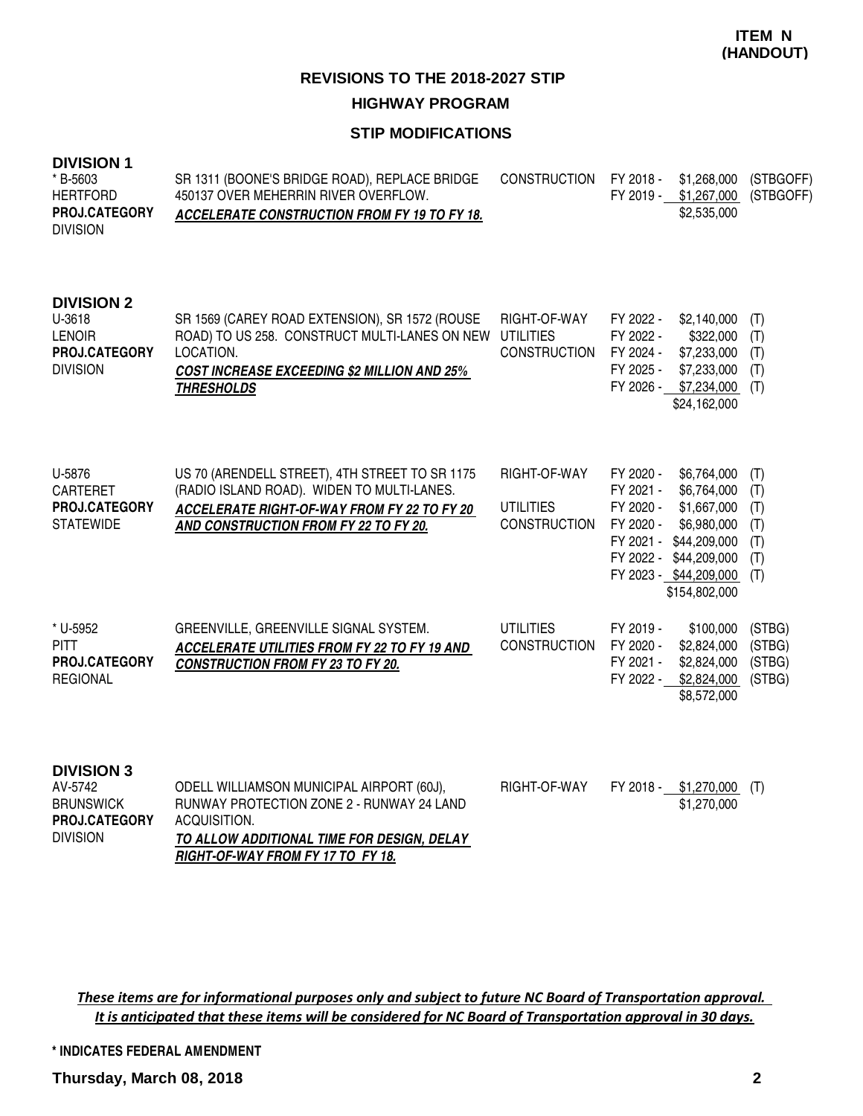#### **STIP MODIFICATIONS**

| <b>DIVISION 1</b><br>* B-5603<br><b>HERTFORD</b><br>PROJ.CATEGORY<br><b>DIVISION</b> | SR 1311 (BOONE'S BRIDGE ROAD), REPLACE BRIDGE<br>450137 OVER MEHERRIN RIVER OVERFLOW.<br><b>ACCELERATE CONSTRUCTION FROM FY 19 TO FY 18.</b>                                            | <b>CONSTRUCTION</b>                                     | FY 2018 -<br>\$1,268,000<br>FY 2019 - \$1,267,000<br>\$2,535,000                                                                                                                                            | (STBGOFF)<br>(STBGOFF)                        |
|--------------------------------------------------------------------------------------|-----------------------------------------------------------------------------------------------------------------------------------------------------------------------------------------|---------------------------------------------------------|-------------------------------------------------------------------------------------------------------------------------------------------------------------------------------------------------------------|-----------------------------------------------|
| <b>DIVISION 2</b><br>U-3618<br><b>LENOIR</b><br>PROJ.CATEGORY<br><b>DIVISION</b>     | SR 1569 (CAREY ROAD EXTENSION), SR 1572 (ROUSE<br>ROAD) TO US 258. CONSTRUCT MULTI-LANES ON NEW<br>LOCATION.<br><b>COST INCREASE EXCEEDING \$2 MILLION AND 25%</b><br><b>THRESHOLDS</b> | RIGHT-OF-WAY<br><b>UTILITIES</b><br><b>CONSTRUCTION</b> | FY 2022 -<br>\$2,140,000<br>FY 2022 -<br>\$322,000<br>FY 2024 -<br>\$7,233,000<br>FY 2025 -<br>\$7,233,000<br>FY 2026 -<br>\$7,234,000<br>\$24,162,000                                                      | (T)<br>(T)<br>(T)<br>(T)<br>(T)               |
| U-5876<br><b>CARTERET</b><br>PROJ.CATEGORY<br><b>STATEWIDE</b>                       | US 70 (ARENDELL STREET), 4TH STREET TO SR 1175<br>(RADIO ISLAND ROAD). WIDEN TO MULTI-LANES.<br>ACCELERATE RIGHT-OF-WAY FROM FY 22 TO FY 20<br>AND CONSTRUCTION FROM FY 22 TO FY 20.    | RIGHT-OF-WAY<br><b>UTILITIES</b><br><b>CONSTRUCTION</b> | FY 2020 -<br>\$6,764,000<br>FY 2021 -<br>\$6,764,000<br>FY 2020 -<br>\$1,667,000<br>FY 2020 -<br>\$6,980,000<br>FY 2021 - \$44,209,000<br>FY 2022 - \$44,209,000<br>FY 2023 - \$44,209,000<br>\$154,802,000 | (T)<br>(T)<br>(T)<br>(T)<br>(T)<br>(T)<br>(T) |
| * U-5952<br><b>PITT</b><br>PROJ.CATEGORY<br><b>REGIONAL</b>                          | GREENVILLE, GREENVILLE SIGNAL SYSTEM.<br><b>ACCELERATE UTILITIES FROM FY 22 TO FY 19 AND</b><br><b>CONSTRUCTION FROM FY 23 TO FY 20.</b>                                                | <b>UTILITIES</b><br><b>CONSTRUCTION</b>                 | FY 2019 -<br>\$100,000<br>\$2,824,000<br>FY 2020 -<br>FY 2021 -<br>\$2,824,000<br>FY 2022 -<br>\$2,824,000<br>\$8,572,000                                                                                   | (STBG)<br>(STBG)<br>(STBG)<br>(STBG)          |
| <b>DIVISION 3</b><br>AV-5742<br><b>BRUNSWICK</b>                                     | ODELL WILLIAMSON MUNICIPAL AIRPORT (60J),<br>RUNWAY PROTECTION ZONE 2 - RUNWAY 24 LAND                                                                                                  | RIGHT-OF-WAY                                            | \$1,270,000<br>FY 2018 -<br>\$1,270,000                                                                                                                                                                     | (T)                                           |

These items are for informational purposes only and subject to future NC Board of Transportation approval. It is anticipated that these items will be considered for NC Board of Transportation approval in 30 days.

**TO ALLOW ADDITIONAL TIME FOR DESIGN, DELAY** 

**RIGHT-OF-WAY FROM FY 17 TO FY 18.**

**\* INDICATES FEDERAL AMENDMENT**

**PROJ.CATEGORY** ACQUISITION.

DIVISION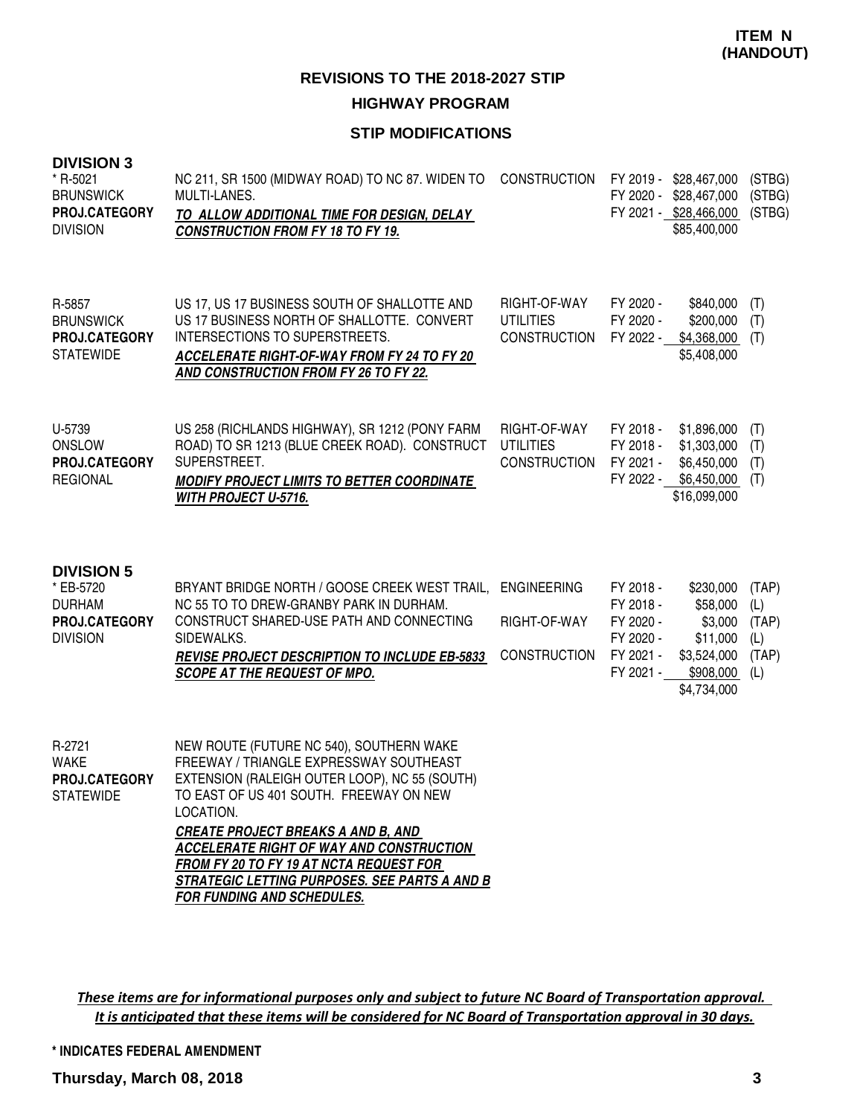#### **STIP MODIFICATIONS**

#### **DIVISION 3**

| ט ווטוטוע<br>* R-5021<br><b>BRUNSWICK</b><br>PROJ.CATEGORY<br><b>DIVISION</b>       | NC 211, SR 1500 (MIDWAY ROAD) TO NC 87. WIDEN TO<br>MULTI-LANES.<br>TO ALLOW ADDITIONAL TIME FOR DESIGN, DELAY<br><b>CONSTRUCTION FROM FY 18 TO FY 19.</b>                                                                                                                                                                                                                                                             | <b>CONSTRUCTION</b>                                       |                                                                            | FY 2019 - \$28,467,000<br>FY 2020 - \$28,467,000<br>FY 2021 - \$28,466,000<br>\$85,400,000 | (STBG)<br>(STBG)<br>(STBG)                   |
|-------------------------------------------------------------------------------------|------------------------------------------------------------------------------------------------------------------------------------------------------------------------------------------------------------------------------------------------------------------------------------------------------------------------------------------------------------------------------------------------------------------------|-----------------------------------------------------------|----------------------------------------------------------------------------|--------------------------------------------------------------------------------------------|----------------------------------------------|
| R-5857<br><b>BRUNSWICK</b><br>PROJ.CATEGORY<br><b>STATEWIDE</b>                     | US 17, US 17 BUSINESS SOUTH OF SHALLOTTE AND<br>US 17 BUSINESS NORTH OF SHALLOTTE. CONVERT<br><b>INTERSECTIONS TO SUPERSTREETS.</b><br><b>ACCELERATE RIGHT-OF-WAY FROM FY 24 TO FY 20</b><br>AND CONSTRUCTION FROM FY 26 TO FY 22.                                                                                                                                                                                     | RIGHT-OF-WAY<br><b>UTILITIES</b><br><b>CONSTRUCTION</b>   | FY 2020 -<br>FY 2020 -<br>FY 2022 -                                        | \$840,000<br>\$200,000<br>\$4,368,000<br>\$5,408,000                                       | (T)<br>(T)<br>(T)                            |
| U-5739<br><b>ONSLOW</b><br>PROJ.CATEGORY<br><b>REGIONAL</b>                         | US 258 (RICHLANDS HIGHWAY), SR 1212 (PONY FARM<br>ROAD) TO SR 1213 (BLUE CREEK ROAD). CONSTRUCT<br>SUPERSTREET.<br><b>MODIFY PROJECT LIMITS TO BETTER COORDINATE</b><br>WITH PROJECT U-5716.                                                                                                                                                                                                                           | RIGHT-OF-WAY<br><b>UTILITIES</b><br><b>CONSTRUCTION</b>   | FY 2018 -<br>FY 2018 -<br>FY 2021 -<br>FY 2022 -                           | \$1,896,000<br>\$1,303,000<br>\$6,450,000<br>\$6,450,000<br>\$16,099,000                   | (T)<br>(T)<br>(T)<br>(T)                     |
| <b>DIVISION 5</b><br>* EB-5720<br><b>DURHAM</b><br>PROJ.CATEGORY<br><b>DIVISION</b> | BRYANT BRIDGE NORTH / GOOSE CREEK WEST TRAIL,<br>NC 55 TO TO DREW-GRANBY PARK IN DURHAM.<br>CONSTRUCT SHARED-USE PATH AND CONNECTING<br>SIDEWALKS.<br><b>REVISE PROJECT DESCRIPTION TO INCLUDE EB-5833</b><br><b>SCOPE AT THE REQUEST OF MPO.</b>                                                                                                                                                                      | <b>ENGINEERING</b><br>RIGHT-OF-WAY<br><b>CONSTRUCTION</b> | FY 2018 -<br>FY 2018 -<br>FY 2020 -<br>FY 2020 -<br>FY 2021 -<br>FY 2021 - | \$230,000<br>\$58,000<br>\$3,000<br>\$11,000<br>\$3,524,000<br>\$908,000<br>\$4,734,000    | (TAP)<br>(L)<br>(TAP)<br>(L)<br>(TAP)<br>(L) |
| R-2721<br><b>WAKE</b><br>PROJ.CATEGORY<br><b>STATEWIDE</b>                          | NEW ROUTE (FUTURE NC 540), SOUTHERN WAKE<br>FREEWAY / TRIANGLE EXPRESSWAY SOUTHEAST<br>EXTENSION (RALEIGH OUTER LOOP), NC 55 (SOUTH)<br>TO EAST OF US 401 SOUTH. FREEWAY ON NEW<br>LOCATION.<br><b>CREATE PROJECT BREAKS A AND B, AND</b><br><b>ACCELERATE RIGHT OF WAY AND CONSTRUCTION</b><br>FROM FY 20 TO FY 19 AT NCTA REQUEST FOR<br>STRATEGIC LETTING PURPOSES. SEE PARTS A AND B<br>FOR FUNDING AND SCHEDULES. |                                                           |                                                                            |                                                                                            |                                              |

These items are for informational purposes only and subject to future NC Board of Transportation approval. It is anticipated that these items will be considered for NC Board of Transportation approval in 30 days.

**\* INDICATES FEDERAL AMENDMENT**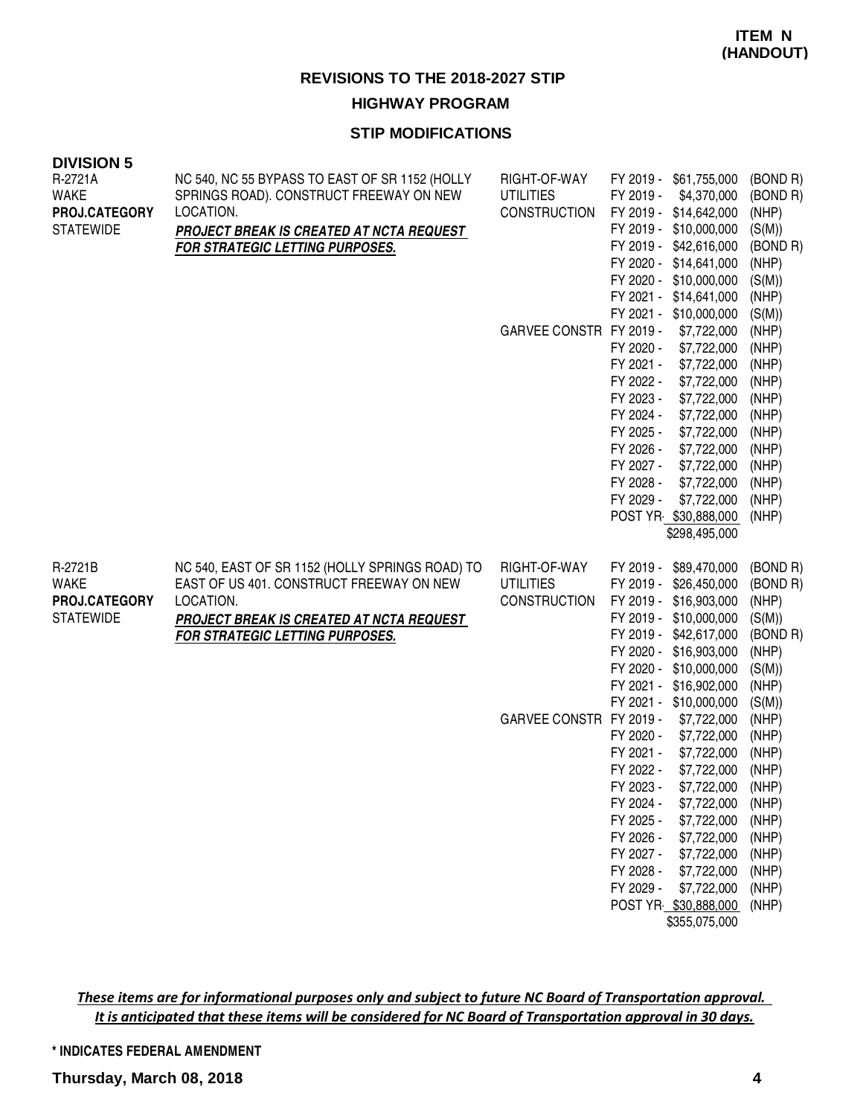**HIGHWAY PROGRAM**

#### **STIP MODIFICATIONS**

| <b>DIVISION 5</b><br>R-2721A<br><b>WAKE</b><br>PROJ.CATEGORY<br><b>STATEWIDE</b> | NC 540, NC 55 BYPASS TO EAST OF SR 1152 (HOLLY<br>SPRINGS ROAD). CONSTRUCT FREEWAY ON NEW<br>LOCATION.<br>PROJECT BREAK IS CREATED AT NCTA REQUEST<br>FOR STRATEGIC LETTING PURPOSES.                 | RIGHT-OF-WAY<br><b>UTILITIES</b><br><b>CONSTRUCTION</b><br>GARVEE CONSTR FY 2019 - | FY 2019 -<br>\$61,755,000<br>FY 2019 -<br>\$4,370,000<br>FY 2019 -<br>\$14,642,000<br>FY 2019 -<br>\$10,000,000<br>FY 2019 -<br>\$42,616,000<br>FY 2020 -<br>\$14,641,000<br>FY 2020 -<br>\$10,000,000<br>FY 2021 -<br>\$14,641,000<br>FY 2021 -<br>\$10,000,000<br>\$7,722,000<br>FY 2020 -<br>\$7,722,000<br>\$7,722,000<br>FY 2021 -<br>FY 2022 -<br>\$7,722,000<br>FY 2023 -<br>\$7,722,000<br>FY 2024 -<br>\$7,722,000<br>FY 2025 -<br>\$7,722,000<br>FY 2026 -<br>\$7,722,000<br>FY 2027 -<br>\$7,722,000<br>FY 2028 -<br>\$7,722,000<br>FY 2029 -<br>\$7,722,000<br>POST YR \$30,888,000<br>\$298,495,000 | (BOND R)<br>(BOND R)<br>(NHP)<br>(S(M))<br>(BOND R)<br>(NHP)<br>(S(M))<br>(NHP)<br>(S(M))<br>(NHP)<br>(NHP)<br>(NHP)<br>(NHP)<br>(NHP)<br>(NHP)<br>(NHP)<br>(NHP)<br>(NHP)<br>(NHP)<br>(NHP)<br>(NHP) |
|----------------------------------------------------------------------------------|-------------------------------------------------------------------------------------------------------------------------------------------------------------------------------------------------------|------------------------------------------------------------------------------------|------------------------------------------------------------------------------------------------------------------------------------------------------------------------------------------------------------------------------------------------------------------------------------------------------------------------------------------------------------------------------------------------------------------------------------------------------------------------------------------------------------------------------------------------------------------------------------------------------------------|-------------------------------------------------------------------------------------------------------------------------------------------------------------------------------------------------------|
| R-2721B<br><b>WAKE</b><br>PROJ.CATEGORY<br><b>STATEWIDE</b>                      | NC 540, EAST OF SR 1152 (HOLLY SPRINGS ROAD) TO<br>EAST OF US 401. CONSTRUCT FREEWAY ON NEW<br>LOCATION.<br><b>PROJECT BREAK IS CREATED AT NCTA REQUEST</b><br><b>FOR STRATEGIC LETTING PURPOSES.</b> | RIGHT-OF-WAY<br><b>UTILITIES</b><br><b>CONSTRUCTION</b><br>GARVEE CONSTR FY 2019 - | FY 2019 -<br>\$89,470,000<br>FY 2019 -<br>\$26,450,000<br>FY 2019 -<br>\$16,903,000<br>FY 2019 -<br>\$10,000,000<br>FY 2019 -<br>\$42,617,000<br>FY 2020 -<br>\$16,903,000<br>FY 2020 -<br>\$10,000,000<br>FY 2021 -<br>\$16,902,000<br>FY 2021 -<br>\$10,000,000<br>\$7,722,000                                                                                                                                                                                                                                                                                                                                 | (BOND R)<br>(BOND R)<br>(NHP)<br>(S(M))<br>(BOND R)<br>(NHP)<br>(S(M))<br>(NHP)<br>(S(M))<br>(NHP)                                                                                                    |
|                                                                                  |                                                                                                                                                                                                       |                                                                                    | FY 2020 -<br>\$7,722,000<br>FY 2021 -<br>\$7,722,000<br>FY 2022 -<br>\$7,722,000<br>FY 2023 -<br>FY 2024 -<br>\$7,722,000<br>FY 2025 -<br>\$7,722,000<br>FY 2026 -<br>\$7,722,000<br>FY 2027 -<br>\$7,722,000<br>FY 2028 -<br>\$7,722,000<br>FY 2029 -<br>\$7,722,000<br>POST YR \$30,888,000<br>\$355,075,000                                                                                                                                                                                                                                                                                                   | (NHP)<br>(NHP)<br>(NHP)<br>\$7,722,000 (NHP)<br>(NHP)<br>(NHP)<br>(NHP)<br>(NHP)<br>(NHP)<br>(NHP)<br>(NHP)                                                                                           |

These items are for informational purposes only and subject to future NC Board of Transportation approval. It is anticipated that these items will be considered for NC Board of Transportation approval in 30 days.

**\* INDICATES FEDERAL AMENDMENT**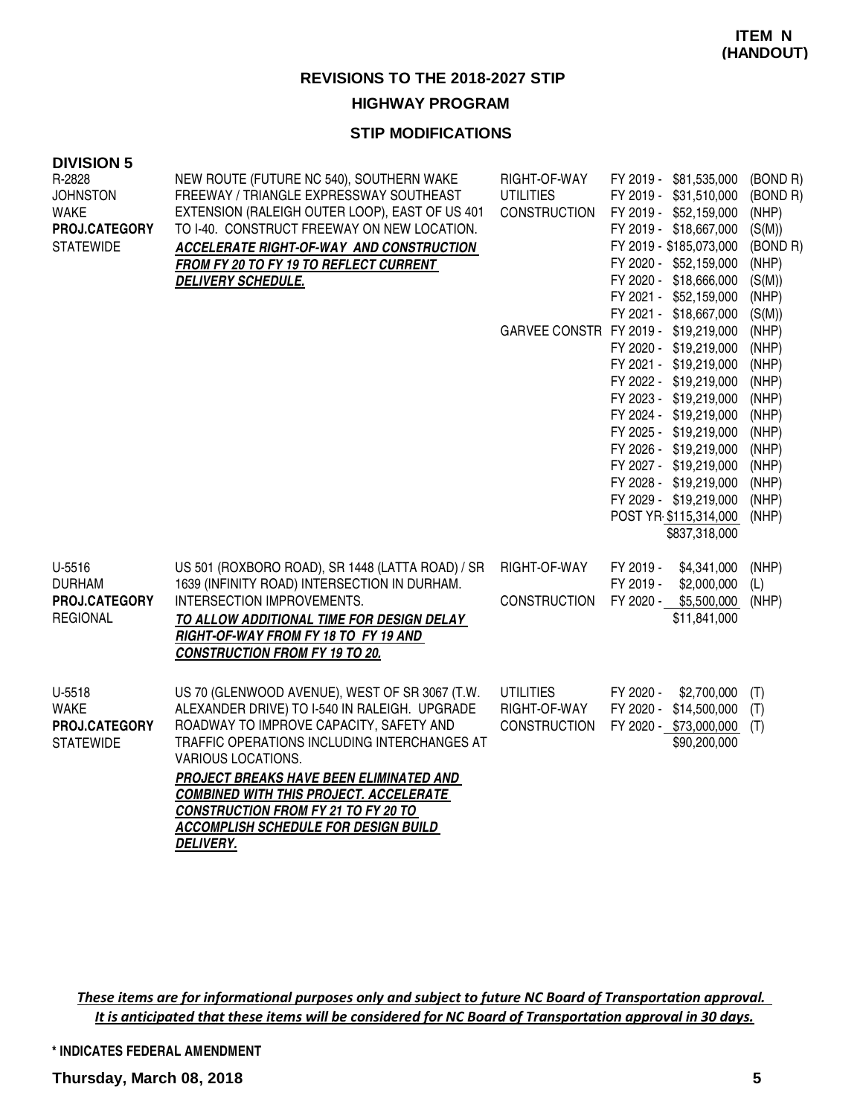#### **HIGHWAY PROGRAM**

#### **STIP MODIFICATIONS**

| <b>DIVISION 5</b><br>R-2828                                         | NEW ROUTE (FUTURE NC 540), SOUTHERN WAKE                                                                                                                                                                                                                                                                                                                                                                                             | RIGHT-OF-WAY                                            | FY 2019 - \$81,535,000                                                                                                                                                                                                                                                                                                                             | (BOND R)                                                                                                 |
|---------------------------------------------------------------------|--------------------------------------------------------------------------------------------------------------------------------------------------------------------------------------------------------------------------------------------------------------------------------------------------------------------------------------------------------------------------------------------------------------------------------------|---------------------------------------------------------|----------------------------------------------------------------------------------------------------------------------------------------------------------------------------------------------------------------------------------------------------------------------------------------------------------------------------------------------------|----------------------------------------------------------------------------------------------------------|
| <b>JOHNSTON</b><br><b>WAKE</b><br>PROJ.CATEGORY<br><b>STATEWIDE</b> | FREEWAY / TRIANGLE EXPRESSWAY SOUTHEAST<br>EXTENSION (RALEIGH OUTER LOOP), EAST OF US 401<br>TO I-40. CONSTRUCT FREEWAY ON NEW LOCATION.<br><b>ACCELERATE RIGHT-OF-WAY AND CONSTRUCTION</b><br>FROM FY 20 TO FY 19 TO REFLECT CURRENT<br><b>DELIVERY SCHEDULE.</b>                                                                                                                                                                   | <b>UTILITIES</b><br><b>CONSTRUCTION</b>                 | FY 2019 - \$31,510,000<br>FY 2019 - \$52,159,000<br>FY 2019 - \$18,667,000<br>FY 2019 - \$185,073,000<br>FY 2020 - \$52,159,000<br>FY 2020 - \$18,666,000<br>FY 2021 - \$52,159,000<br>FY 2021 - \$18,667,000                                                                                                                                      | (BOND R)<br>(NHP)<br>(S(M))<br>(BOND R)<br>(NHP)<br>(S(M))<br>(NHP)<br>(S(M))                            |
|                                                                     |                                                                                                                                                                                                                                                                                                                                                                                                                                      |                                                         | GARVEE CONSTR FY 2019 - \$19,219,000<br>FY 2020 - \$19,219,000<br>FY 2021 - \$19,219,000<br>FY 2022 - \$19,219,000<br>FY 2023 - \$19,219,000<br>FY 2024 - \$19,219,000<br>FY 2025 - \$19,219,000<br>FY 2026 - \$19,219,000<br>FY 2027 - \$19,219,000<br>FY 2028 - \$19,219,000<br>FY 2029 - \$19,219,000<br>POST YR \$115,314,000<br>\$837,318,000 | (NHP)<br>(NHP)<br>(NHP)<br>(NHP)<br>(NHP)<br>(NHP)<br>(NHP)<br>(NHP)<br>(NHP)<br>(NHP)<br>(NHP)<br>(NHP) |
| U-5516<br><b>DURHAM</b><br>PROJ.CATEGORY<br><b>REGIONAL</b>         | US 501 (ROXBORO ROAD), SR 1448 (LATTA ROAD) / SR<br>1639 (INFINITY ROAD) INTERSECTION IN DURHAM.<br>INTERSECTION IMPROVEMENTS.<br>TO ALLOW ADDITIONAL TIME FOR DESIGN DELAY<br>RIGHT-OF-WAY FROM FY 18 TO FY 19 AND<br><b>CONSTRUCTION FROM FY 19 TO 20.</b>                                                                                                                                                                         | RIGHT-OF-WAY<br><b>CONSTRUCTION</b>                     | FY 2019 -<br>\$4,341,000<br>FY 2019 -<br>\$2,000,000<br>FY 2020 - \$5,500,000<br>\$11,841,000                                                                                                                                                                                                                                                      | (NHP)<br>(L)<br>(NHP)                                                                                    |
| U-5518<br><b>WAKE</b><br>PROJ.CATEGORY<br><b>STATEWIDE</b>          | US 70 (GLENWOOD AVENUE), WEST OF SR 3067 (T.W.<br>ALEXANDER DRIVE) TO I-540 IN RALEIGH. UPGRADE<br>ROADWAY TO IMPROVE CAPACITY, SAFETY AND<br>TRAFFIC OPERATIONS INCLUDING INTERCHANGES AT<br>VARIOUS LOCATIONS.<br><b>PROJECT BREAKS HAVE BEEN ELIMINATED AND</b><br><b>COMBINED WITH THIS PROJECT. ACCELERATE</b><br><b>CONSTRUCTION FROM FY 21 TO FY 20 TO</b><br><b>ACCOMPLISH SCHEDULE FOR DESIGN BUILD</b><br><b>DELIVERY.</b> | <b>UTILITIES</b><br>RIGHT-OF-WAY<br><b>CONSTRUCTION</b> | FY 2020 -<br>\$2,700,000<br>FY 2020 -<br>\$14,500,000<br>FY 2020 - \$73,000,000<br>\$90,200,000                                                                                                                                                                                                                                                    | (T)<br>(T)<br>(T)                                                                                        |

These items are for informational purposes only and subject to future NC Board of Transportation approval. It is anticipated that these items will be considered for NC Board of Transportation approval in 30 days.

**\* INDICATES FEDERAL AMENDMENT**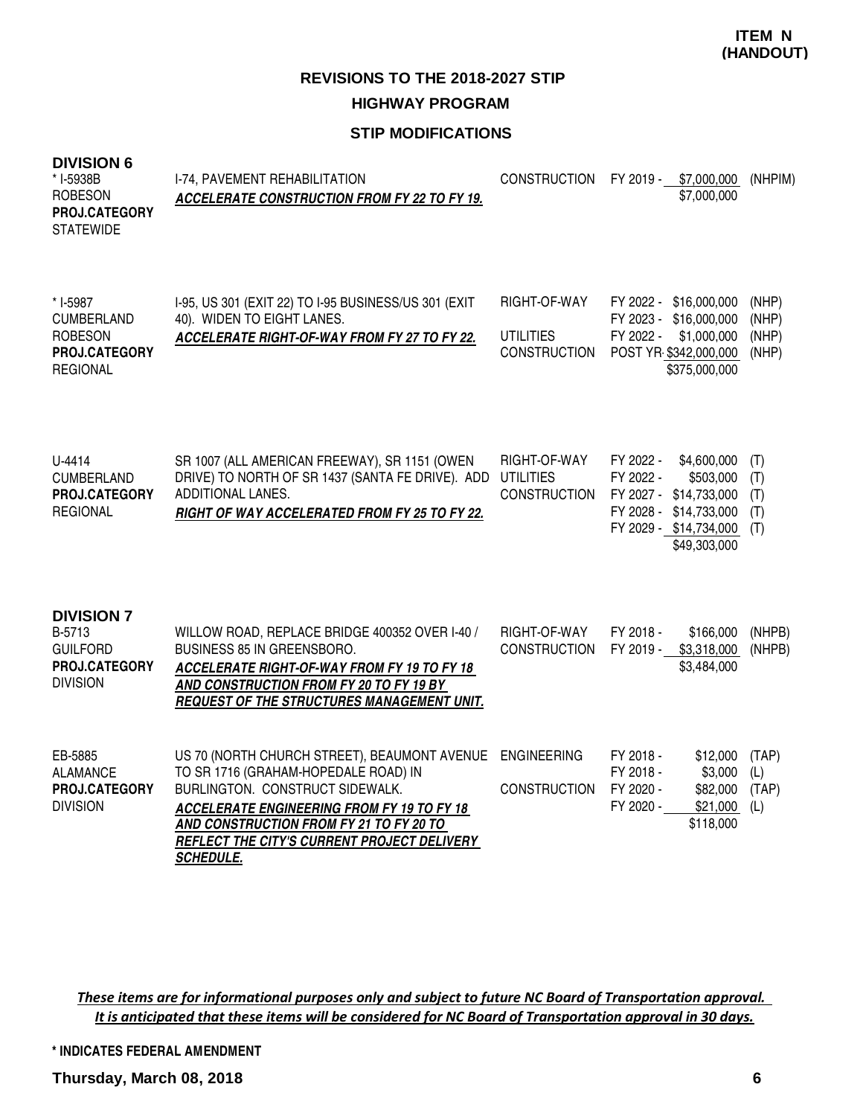#### **STIP MODIFICATIONS**

| DIVISION 6<br>* I-5938B<br><b>ROBESON</b><br>PROJ.CATEGORY<br><b>STATEWIDE</b>      | I-74, PAVEMENT REHABILITATION<br><b>ACCELERATE CONSTRUCTION FROM FY 22 TO FY 19.</b>                                                                                                                                                                                                       |                                                         | CONSTRUCTION FY 2019 - \$7,000,000<br>\$7,000,000                                                                                                | (NHPIM)                          |
|-------------------------------------------------------------------------------------|--------------------------------------------------------------------------------------------------------------------------------------------------------------------------------------------------------------------------------------------------------------------------------------------|---------------------------------------------------------|--------------------------------------------------------------------------------------------------------------------------------------------------|----------------------------------|
| * I-5987<br><b>CUMBERLAND</b><br><b>ROBESON</b><br>PROJ.CATEGORY<br><b>REGIONAL</b> | I-95, US 301 (EXIT 22) TO I-95 BUSINESS/US 301 (EXIT<br>40). WIDEN TO EIGHT LANES.<br>ACCELERATE RIGHT-OF-WAY FROM FY 27 TO FY 22.                                                                                                                                                         | RIGHT-OF-WAY<br><b>UTILITIES</b><br><b>CONSTRUCTION</b> | FY 2022 - \$16,000,000<br>FY 2023 - \$16,000,000<br>\$1,000,000<br>FY 2022 -<br>POST YR \$342,000,000<br>\$375,000,000                           | (NHP)<br>(NHP)<br>(NHP)<br>(NHP) |
| U-4414<br><b>CUMBERLAND</b><br>PROJ.CATEGORY<br><b>REGIONAL</b>                     | SR 1007 (ALL AMERICAN FREEWAY), SR 1151 (OWEN<br>DRIVE) TO NORTH OF SR 1437 (SANTA FE DRIVE). ADD<br>ADDITIONAL LANES.<br><b>RIGHT OF WAY ACCELERATED FROM FY 25 TO FY 22.</b>                                                                                                             | RIGHT-OF-WAY<br><b>UTILITIES</b><br><b>CONSTRUCTION</b> | FY 2022 -<br>\$4,600,000<br>\$503,000<br>FY 2022 -<br>FY 2027 - \$14,733,000<br>FY 2028 - \$14,733,000<br>FY 2029 - \$14,734,000<br>\$49,303,000 | (T)<br>(T)<br>(T)<br>(T)<br>(T)  |
| <b>DIVISION 7</b><br>B-5713<br><b>GUILFORD</b><br>PROJ.CATEGORY<br><b>DIVISION</b>  | WILLOW ROAD, REPLACE BRIDGE 400352 OVER I-40 /<br>BUSINESS 85 IN GREENSBORO.<br>ACCELERATE RIGHT-OF-WAY FROM FY 19 TO FY 18<br>AND CONSTRUCTION FROM FY 20 TO FY 19 BY<br>REQUEST OF THE STRUCTURES MANAGEMENT UNIT.                                                                       | RIGHT-OF-WAY<br><b>CONSTRUCTION</b>                     | FY 2018 -<br>\$166,000<br>FY 2019 - \$3,318,000<br>\$3,484,000                                                                                   | (NHPB)<br>(NHPB)                 |
| EB-5885<br><b>ALAMANCE</b><br>PROJ.CATEGORY<br><b>DIVISION</b>                      | US 70 (NORTH CHURCH STREET), BEAUMONT AVENUE<br>TO SR 1716 (GRAHAM-HOPEDALE ROAD) IN<br>BURLINGTON. CONSTRUCT SIDEWALK.<br><b>ACCELERATE ENGINEERING FROM FY 19 TO FY 18</b><br>AND CONSTRUCTION FROM FY 21 TO FY 20 TO<br>REFLECT THE CITY'S CURRENT PROJECT DELIVERY<br><b>SCHEDULE.</b> | <b>ENGINEERING</b><br><b>CONSTRUCTION</b>               | FY 2018 -<br>\$12,000<br>FY 2018 -<br>\$3,000<br>FY 2020 -<br>\$82,000<br>FY 2020 -<br>\$21,000<br>\$118,000                                     | (TAP)<br>(L)<br>(TAP)<br>(L)     |

These items are for informational purposes only and subject to future NC Board of Transportation approval. It is anticipated that these items will be considered for NC Board of Transportation approval in 30 days.

**\* INDICATES FEDERAL AMENDMENT**

**Thursday, March 08, 2018 6**

**DIVISION 6**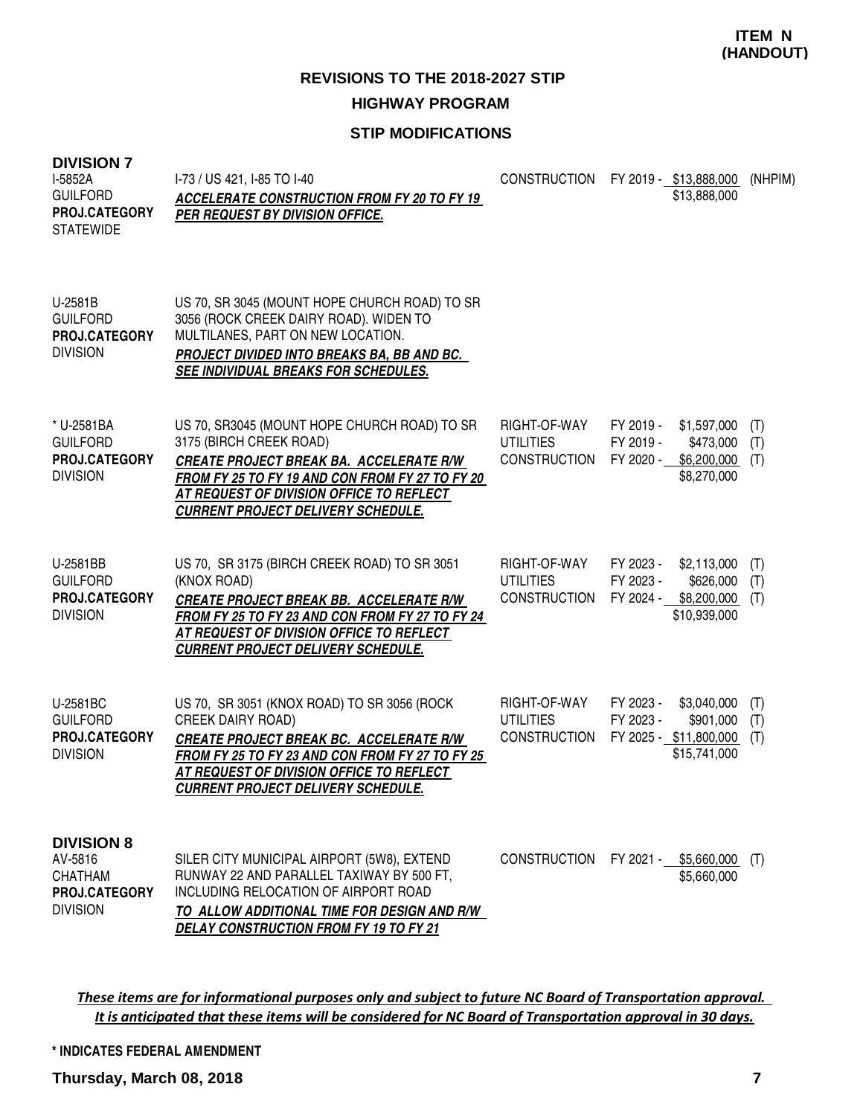### **STIP MODIFICATIONS**

| <b>DIVISION 7</b><br>I-5852A<br><b>GUILFORD</b><br><b>PROJ.CATEGORY</b><br><b>STATEWIDE</b> | I-73 / US 421, I-85 TO I-40<br>ACCELERATE CONSTRUCTION FROM FY 20 TO FY 19<br>PER REQUEST BY DIVISION OFFICE.                                                                                                                                                  | CONSTRUCTION FY 2019 - \$13,888,000                     |                                     | \$13,888,000                                                       | (NHPIM)           |
|---------------------------------------------------------------------------------------------|----------------------------------------------------------------------------------------------------------------------------------------------------------------------------------------------------------------------------------------------------------------|---------------------------------------------------------|-------------------------------------|--------------------------------------------------------------------|-------------------|
| U-2581B<br><b>GUILFORD</b><br>PROJ.CATEGORY<br><b>DIVISION</b>                              | US 70, SR 3045 (MOUNT HOPE CHURCH ROAD) TO SR<br>3056 (ROCK CREEK DAIRY ROAD). WIDEN TO<br>MULTILANES, PART ON NEW LOCATION.<br>PROJECT DIVIDED INTO BREAKS BA, BB AND BC.<br>SEE INDIVIDUAL BREAKS FOR SCHEDULES.                                             |                                                         |                                     |                                                                    |                   |
| * U-2581BA<br><b>GUILFORD</b><br><b>PROJ.CATEGORY</b><br><b>DIVISION</b>                    | US 70, SR3045 (MOUNT HOPE CHURCH ROAD) TO SR<br>3175 (BIRCH CREEK ROAD)<br>CREATE PROJECT BREAK BA. ACCELERATE R/W<br>FROM FY 25 TO FY 19 AND CON FROM FY 27 TO FY 20<br>AT REQUEST OF DIVISION OFFICE TO REFLECT<br><b>CURRENT PROJECT DELIVERY SCHEDULE.</b> | RIGHT-OF-WAY<br><b>UTILITIES</b><br><b>CONSTRUCTION</b> | FY 2019 -<br>FY 2019 -<br>FY 2020 - | \$1,597,000<br>\$473,000<br>\$6,200,000<br>\$8,270,000             | (T)<br>(T)<br>(T) |
| U-2581BB<br><b>GUILFORD</b><br>PROJ.CATEGORY<br><b>DIVISION</b>                             | US 70, SR 3175 (BIRCH CREEK ROAD) TO SR 3051<br>(KNOX ROAD)<br>CREATE PROJECT BREAK BB. ACCELERATE R/W<br>FROM FY 25 TO FY 23 AND CON FROM FY 27 TO FY 24<br>AT REQUEST OF DIVISION OFFICE TO REFLECT<br><b>CURRENT PROJECT DELIVERY SCHEDULE.</b>             | RIGHT-OF-WAY<br><b>UTILITIES</b><br><b>CONSTRUCTION</b> | FY 2023 -<br>FY 2023 -              | \$2,113,000<br>\$626,000<br>FY 2024 - \$8,200,000<br>\$10,939,000  | (T)<br>(T)<br>(T) |
| U-2581BC<br><b>GUILFORD</b><br><b>PROJ.CATEGORY</b><br><b>DIVISION</b>                      | US 70, SR 3051 (KNOX ROAD) TO SR 3056 (ROCK<br><b>CREEK DAIRY ROAD)</b><br>CREATE PROJECT BREAK BC. ACCELERATE R/W<br>FROM FY 25 TO FY 23 AND CON FROM FY 27 TO FY 25<br>AT REQUEST OF DIVISION OFFICE TO REFLECT<br><b>CURRENT PROJECT DELIVERY SCHEDULE.</b> | RIGHT-OF-WAY<br><b>UTILITIES</b><br><b>CONSTRUCTION</b> | FY 2023 -<br>FY 2023 -              | \$3,040,000<br>\$901,000<br>FY 2025 - \$11,800,000<br>\$15,741,000 | (T)<br>(T)<br>(T) |
| <b>DIVISION 8</b><br>AV-5816<br><b>CHATHAM</b><br>PROJ.CATEGORY<br><b>DIVISION</b>          | SILER CITY MUNICIPAL AIRPORT (5W8), EXTEND<br>RUNWAY 22 AND PARALLEL TAXIWAY BY 500 FT.<br>INCLUDING RELOCATION OF AIRPORT ROAD<br>TO ALLOW ADDITIONAL TIME FOR DESIGN AND R/W<br><b>DELAY CONSTRUCTION FROM FY 19 TO FY 21</b>                                | CONSTRUCTION FY 2021 - \$5,660,000                      |                                     | \$5,660,000                                                        | (T)               |

These items are for informational purposes only and subject to future NC Board of Transportation approval. It is anticipated that these items will be considered for NC Board of Transportation approval in 30 days.

**\* INDICATES FEDERAL AMENDMENT**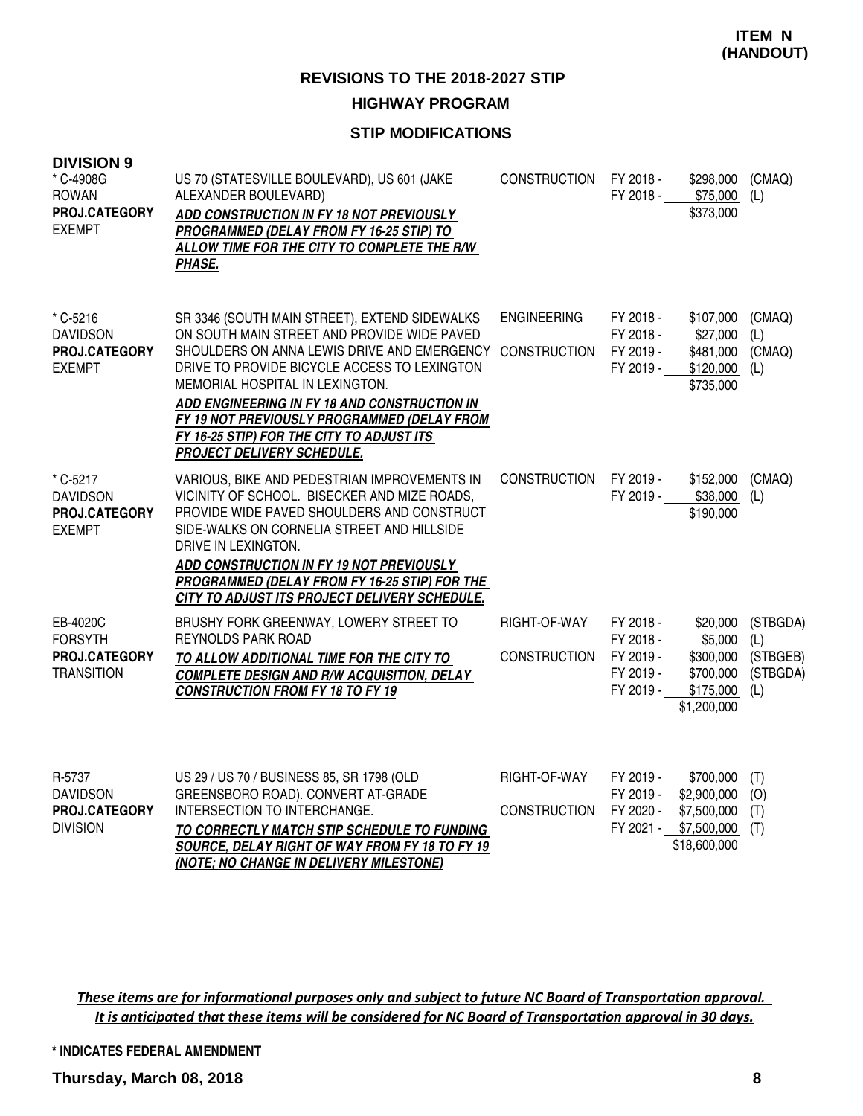#### **HIGHWAY PROGRAM**

#### **STIP MODIFICATIONS**

| <b>DIVISION 9</b><br>* C-4908G<br><b>ROWAN</b><br>PROJ.CATEGORY<br><b>EXEMPT</b> | US 70 (STATESVILLE BOULEVARD), US 601 (JAKE<br>ALEXANDER BOULEVARD)<br>ADD CONSTRUCTION IN FY 18 NOT PREVIOUSLY<br>PROGRAMMED (DELAY FROM FY 16-25 STIP) TO<br>ALLOW TIME FOR THE CITY TO COMPLETE THE R/W<br>PHASE.                                                                                                                                                                                     | <b>CONSTRUCTION</b>                       | FY 2018 -<br>FY 2018 -                                        | \$298,000<br>\$75,000<br>\$373,000                                               | (CMAQ)<br>(L)                                  |
|----------------------------------------------------------------------------------|----------------------------------------------------------------------------------------------------------------------------------------------------------------------------------------------------------------------------------------------------------------------------------------------------------------------------------------------------------------------------------------------------------|-------------------------------------------|---------------------------------------------------------------|----------------------------------------------------------------------------------|------------------------------------------------|
| * C-5216<br><b>DAVIDSON</b><br>PROJ.CATEGORY<br><b>EXEMPT</b>                    | SR 3346 (SOUTH MAIN STREET), EXTEND SIDEWALKS<br>ON SOUTH MAIN STREET AND PROVIDE WIDE PAVED<br>SHOULDERS ON ANNA LEWIS DRIVE AND EMERGENCY<br>DRIVE TO PROVIDE BICYCLE ACCESS TO LEXINGTON<br>MEMORIAL HOSPITAL IN LEXINGTON.<br>ADD ENGINEERING IN FY 18 AND CONSTRUCTION IN<br>FY 19 NOT PREVIOUSLY PROGRAMMED (DELAY FROM<br>FY 16-25 STIP) FOR THE CITY TO ADJUST ITS<br>PROJECT DELIVERY SCHEDULE. | <b>ENGINEERING</b><br><b>CONSTRUCTION</b> | FY 2018 -<br>FY 2018 -<br>FY 2019 -<br>FY 2019 -              | \$107,000<br>$$27,000$ (L)<br>\$481,000 (CMAQ)<br>$$120,000$ (L)<br>\$735,000    | (CMAQ)                                         |
| * C-5217<br><b>DAVIDSON</b><br>PROJ.CATEGORY<br><b>EXEMPT</b>                    | VARIOUS, BIKE AND PEDESTRIAN IMPROVEMENTS IN<br>VICINITY OF SCHOOL. BISECKER AND MIZE ROADS,<br>PROVIDE WIDE PAVED SHOULDERS AND CONSTRUCT<br>SIDE-WALKS ON CORNELIA STREET AND HILLSIDE<br>DRIVE IN LEXINGTON.<br>ADD CONSTRUCTION IN FY 19 NOT PREVIOUSLY<br>PROGRAMMED (DELAY FROM FY 16-25 STIP) FOR THE<br>CITY TO ADJUST ITS PROJECT DELIVERY SCHEDULE.                                            | CONSTRUCTION                              | FY 2019 -<br>FY 2019 -                                        | \$152,000<br>\$38,000<br>\$190,000                                               | (CMAQ)<br>(L)                                  |
| EB-4020C<br><b>FORSYTH</b><br>PROJ.CATEGORY<br><b>TRANSITION</b>                 | BRUSHY FORK GREENWAY, LOWERY STREET TO<br><b>REYNOLDS PARK ROAD</b><br>TO ALLOW ADDITIONAL TIME FOR THE CITY TO<br><b>COMPLETE DESIGN AND R/W ACQUISITION, DELAY</b><br><b>CONSTRUCTION FROM FY 18 TO FY 19</b>                                                                                                                                                                                          | RIGHT-OF-WAY<br><b>CONSTRUCTION</b>       | FY 2018 -<br>FY 2018 -<br>FY 2019 -<br>FY 2019 -<br>FY 2019 - | \$20,000<br>\$5,000<br>\$300,000<br>\$700,000<br>\$175,000<br>\$1,200,000        | (STBGDA)<br>(L)<br>(STBGEB)<br>(STBGDA)<br>(L) |
| R-5737<br><b>DAVIDSON</b><br>PROJ.CATEGORY<br><b>DIVISION</b>                    | US 29 / US 70 / BUSINESS 85, SR 1798 (OLD<br>GREENSBORO ROAD). CONVERT AT-GRADE<br>INTERSECTION TO INTERCHANGE.<br>TO CORRECTLY MATCH STIP SCHEDULE TO FUNDING<br>SOURCE, DELAY RIGHT OF WAY FROM FY 18 TO FY 19<br>(NOTE; NO CHANGE IN DELIVERY MILESTONE)                                                                                                                                              | RIGHT-OF-WAY<br><b>CONSTRUCTION</b>       | FY 2019 -<br>FY 2019 -<br>FY 2020 -                           | \$700,000<br>\$2,900,000<br>\$7,500,000<br>FY 2021 - \$7,500,000<br>\$18,600,000 | (T)<br>(O)<br>(T)<br>(T)                       |

These items are for informational purposes only and subject to future NC Board of Transportation approval. It is anticipated that these items will be considered for NC Board of Transportation approval in 30 days.

**\* INDICATES FEDERAL AMENDMENT**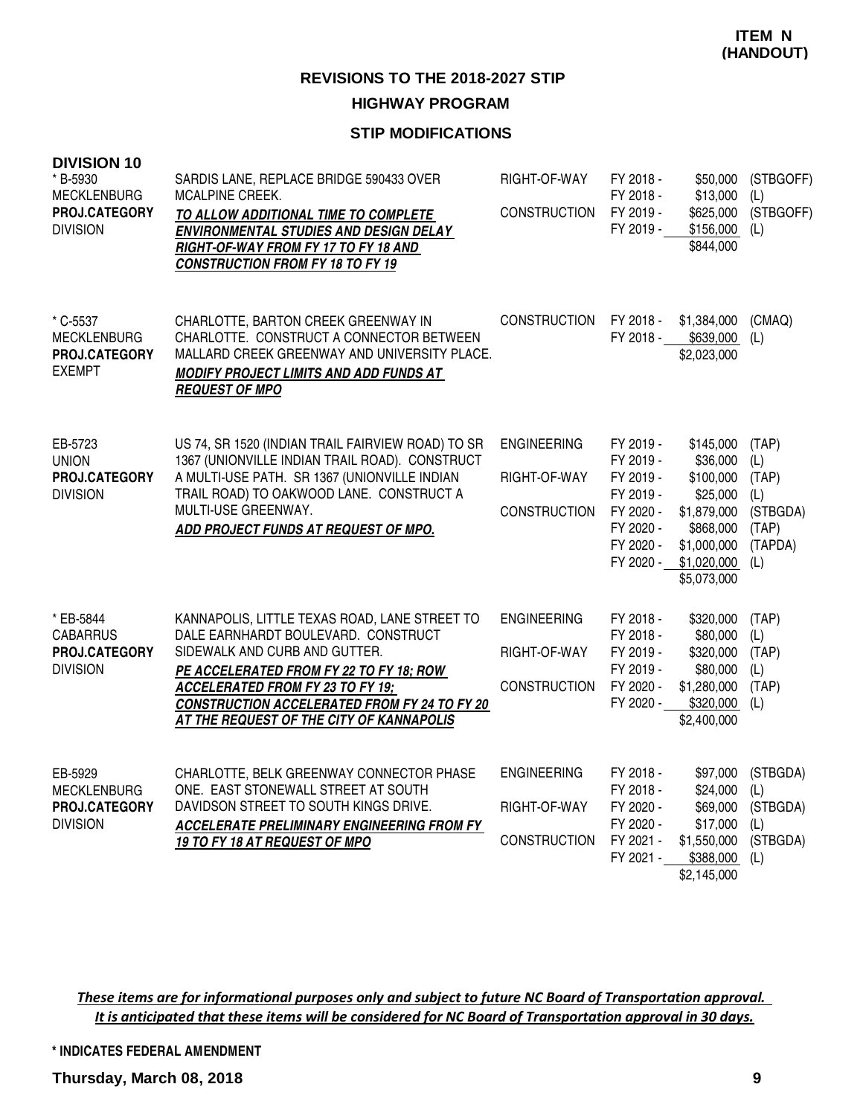#### **STIP MODIFICATIONS**

| <b>DIVISION 10</b><br>* B-5930<br><b>MECKLENBURG</b><br>PROJ.CATEGORY<br><b>DIVISION</b> | SARDIS LANE, REPLACE BRIDGE 590433 OVER<br><b>MCALPINE CREEK.</b><br>TO ALLOW ADDITIONAL TIME TO COMPLETE<br>ENVIRONMENTAL STUDIES AND DESIGN DELAY<br>RIGHT-OF-WAY FROM FY 17 TO FY 18 AND<br><b>CONSTRUCTION FROM FY 18 TO FY 19</b>                                                                         | RIGHT-OF-WAY<br><b>CONSTRUCTION</b>                       | FY 2018 -<br>FY 2018 -<br>FY 2019 -<br>FY 2019 -                                                     | \$50,000<br>\$13,000<br>\$625,000<br>\$156,000<br>\$844,000                                                             | (STBGOFF)<br>(L)<br>(STBGOFF)<br>(L)                                |
|------------------------------------------------------------------------------------------|----------------------------------------------------------------------------------------------------------------------------------------------------------------------------------------------------------------------------------------------------------------------------------------------------------------|-----------------------------------------------------------|------------------------------------------------------------------------------------------------------|-------------------------------------------------------------------------------------------------------------------------|---------------------------------------------------------------------|
| * C-5537<br><b>MECKLENBURG</b><br>PROJ.CATEGORY<br><b>EXEMPT</b>                         | CHARLOTTE, BARTON CREEK GREENWAY IN<br>CHARLOTTE. CONSTRUCT A CONNECTOR BETWEEN<br>MALLARD CREEK GREENWAY AND UNIVERSITY PLACE.<br><b>MODIFY PROJECT LIMITS AND ADD FUNDS AT</b><br><b>REQUEST OF MPO</b>                                                                                                      | CONSTRUCTION                                              | FY 2018 -<br>FY 2018 -                                                                               | \$1,384,000<br>\$639,000<br>\$2,023,000                                                                                 | (CMAQ)<br>(L)                                                       |
| EB-5723<br><b>UNION</b><br>PROJ.CATEGORY<br><b>DIVISION</b>                              | US 74, SR 1520 (INDIAN TRAIL FAIRVIEW ROAD) TO SR<br>1367 (UNIONVILLE INDIAN TRAIL ROAD). CONSTRUCT<br>A MULTI-USE PATH. SR 1367 (UNIONVILLE INDIAN<br>TRAIL ROAD) TO OAKWOOD LANE. CONSTRUCT A<br>MULTI-USE GREENWAY.<br>ADD PROJECT FUNDS AT REQUEST OF MPO.                                                 | <b>ENGINEERING</b><br>RIGHT-OF-WAY<br><b>CONSTRUCTION</b> | FY 2019 -<br>FY 2019 -<br>FY 2019 -<br>FY 2019 -<br>FY 2020 -<br>FY 2020 -<br>FY 2020 -<br>FY 2020 - | \$145,000<br>\$36,000<br>\$100,000<br>\$25,000<br>\$1,879,000<br>\$868,000<br>\$1,000,000<br>\$1,020,000<br>\$5,073,000 | (TAP)<br>(L)<br>(TAP)<br>(L)<br>(STBGDA)<br>(TAP)<br>(TAPDA)<br>(L) |
| * EB-5844<br><b>CABARRUS</b><br>PROJ.CATEGORY<br><b>DIVISION</b>                         | KANNAPOLIS, LITTLE TEXAS ROAD, LANE STREET TO<br>DALE EARNHARDT BOULEVARD. CONSTRUCT<br>SIDEWALK AND CURB AND GUTTER.<br>PE ACCELERATED FROM FY 22 TO FY 18; ROW<br><b>ACCELERATED FROM FY 23 TO FY 19;</b><br><b>CONSTRUCTION ACCELERATED FROM FY 24 TO FY 20</b><br>AT THE REQUEST OF THE CITY OF KANNAPOLIS | <b>ENGINEERING</b><br>RIGHT-OF-WAY<br><b>CONSTRUCTION</b> | FY 2018 -<br>FY 2018 -<br>FY 2019 -<br>FY 2019 -<br>FY 2020 -<br>FY 2020 -                           | \$320,000<br>\$80,000<br>\$320,000<br>\$80,000<br>\$1,280,000<br>\$320,000<br>\$2,400,000                               | (TAP)<br>(L)<br>(TAP)<br>(L)<br>(TAP)<br>(L)                        |
| EB-5929<br><b>MECKLENBURG</b><br>PROJ.CATEGORY<br><b>DIVISION</b>                        | CHARLOTTE, BELK GREENWAY CONNECTOR PHASE<br>ONE. EAST STONEWALL STREET AT SOUTH<br>DAVIDSON STREET TO SOUTH KINGS DRIVE.<br><b>ACCELERATE PRELIMINARY ENGINEERING FROM FY</b><br>19 TO FY 18 AT REQUEST OF MPO                                                                                                 | <b>ENGINEERING</b><br>RIGHT-OF-WAY<br><b>CONSTRUCTION</b> | FY 2018 -<br>FY 2018 -<br>FY 2020 -<br>FY 2020 -<br>FY 2021 -<br>FY 2021 -                           | \$97,000<br>\$24,000<br>\$69,000<br>\$17,000<br>\$1,550,000<br>\$388,000<br>\$2,145,000                                 | (STBGDA)<br>(L)<br>(STBGDA)<br>(L)<br>(STBGDA)<br>(L)               |

These items are for informational purposes only and subject to future NC Board of Transportation approval. It is anticipated that these items will be considered for NC Board of Transportation approval in 30 days.

**\* INDICATES FEDERAL AMENDMENT**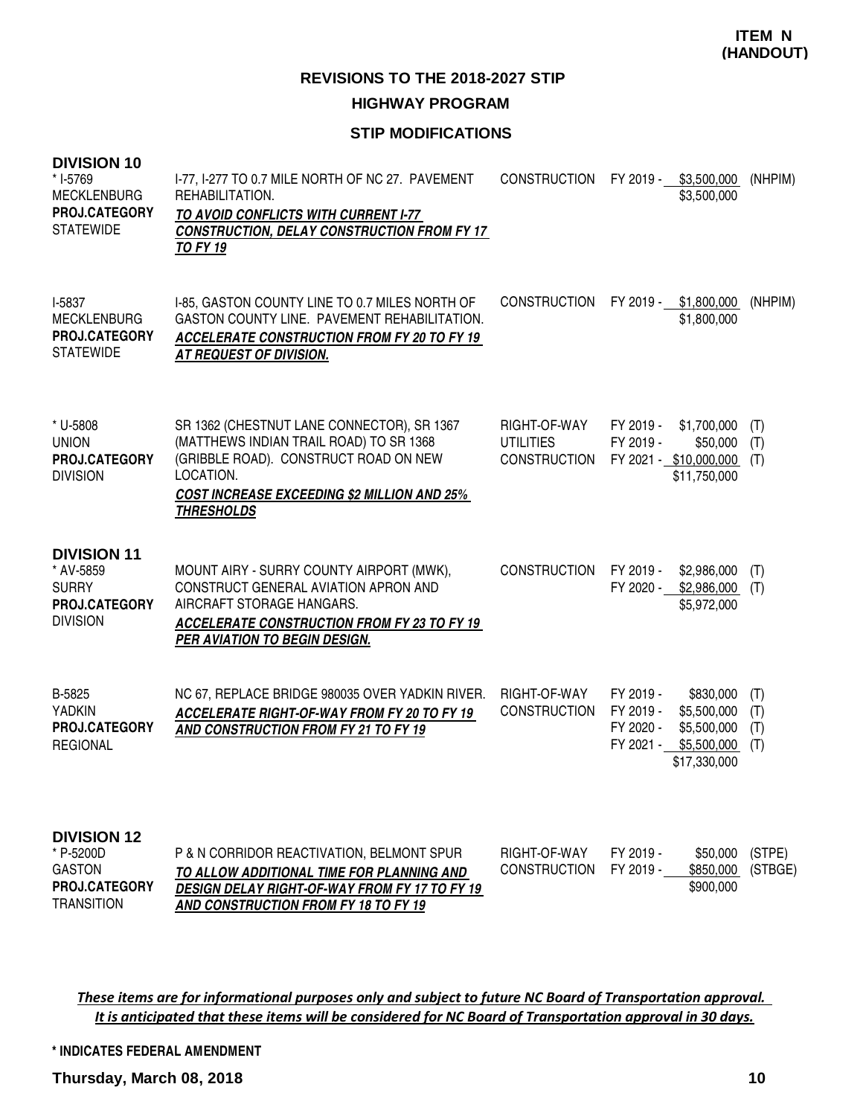#### **STIP MODIFICATIONS**

| <b>DIVISION 10</b><br>* I-5769<br><b>MECKLENBURG</b><br>PROJ.CATEGORY<br><b>STATEWIDE</b>     | I-77, I-277 TO 0.7 MILE NORTH OF NC 27. PAVEMENT<br>REHABILITATION.<br>TO AVOID CONFLICTS WITH CURRENT I-77<br><b>CONSTRUCTION, DELAY CONSTRUCTION FROM FY 17</b><br><b>TO FY 19</b>                                   | <b>CONSTRUCTION</b>                                     | FY 2019 -<br>\$3,500,000<br>\$3,500,000                                                                                 | (NHPIM)                  |
|-----------------------------------------------------------------------------------------------|------------------------------------------------------------------------------------------------------------------------------------------------------------------------------------------------------------------------|---------------------------------------------------------|-------------------------------------------------------------------------------------------------------------------------|--------------------------|
| I-5837<br><b>MECKLENBURG</b><br><b>PROJ.CATEGORY</b><br><b>STATEWIDE</b>                      | I-85, GASTON COUNTY LINE TO 0.7 MILES NORTH OF<br>GASTON COUNTY LINE. PAVEMENT REHABILITATION.<br><b>ACCELERATE CONSTRUCTION FROM FY 20 TO FY 19</b><br>AT REQUEST OF DIVISION.                                        | <b>CONSTRUCTION</b>                                     | FY 2019 - \$1,800,000<br>\$1,800,000                                                                                    | (NHPIM)                  |
| * U-5808<br><b>UNION</b><br>PROJ.CATEGORY<br><b>DIVISION</b>                                  | SR 1362 (CHESTNUT LANE CONNECTOR), SR 1367<br>(MATTHEWS INDIAN TRAIL ROAD) TO SR 1368<br>(GRIBBLE ROAD). CONSTRUCT ROAD ON NEW<br>LOCATION.<br><b>COST INCREASE EXCEEDING \$2 MILLION AND 25%</b><br><b>THRESHOLDS</b> | RIGHT-OF-WAY<br><b>UTILITIES</b><br><b>CONSTRUCTION</b> | FY 2019 -<br>\$1,700,000<br>FY 2019 -<br>\$50,000<br>FY 2021 - \$10,000,000<br>\$11,750,000                             | (T)<br>(T)<br>(T)        |
| <b>DIVISION 11</b><br>* AV-5859<br><b>SURRY</b><br>PROJ.CATEGORY<br><b>DIVISION</b>           | MOUNT AIRY - SURRY COUNTY AIRPORT (MWK),<br>CONSTRUCT GENERAL AVIATION APRON AND<br>AIRCRAFT STORAGE HANGARS.<br><b>ACCELERATE CONSTRUCTION FROM FY 23 TO FY 19</b><br><b>PER AVIATION TO BEGIN DESIGN.</b>            | <b>CONSTRUCTION</b>                                     | FY 2019 -<br>\$2,986,000<br>FY 2020 -<br>\$2,986,000<br>\$5,972,000                                                     | (T)<br>(T)               |
| B-5825<br><b>YADKIN</b><br>PROJ.CATEGORY<br><b>REGIONAL</b>                                   | NC 67, REPLACE BRIDGE 980035 OVER YADKIN RIVER.<br>ACCELERATE RIGHT-OF-WAY FROM FY 20 TO FY 19<br>AND CONSTRUCTION FROM FY 21 TO FY 19                                                                                 | RIGHT-OF-WAY<br><b>CONSTRUCTION</b>                     | FY 2019 -<br>\$830,000<br>FY 2019 -<br>\$5,500,000<br>FY 2020 -<br>\$5,500,000<br>FY 2021 - \$5,500,000<br>\$17,330,000 | (T)<br>(T)<br>(T)<br>(T) |
| <b>DIVISION 12</b><br>* P-5200D<br><b>GASTON</b><br><b>PROJ.CATEGORY</b><br><b>TRANSITION</b> | P & N CORRIDOR REACTIVATION, BELMONT SPUR<br>TO ALLOW ADDITIONAL TIME FOR PLANNING AND<br>DESIGN DELAY RIGHT-OF-WAY FROM FY 17 TO FY 19<br>AND CONSTRUCTION FROM FY 18 TO FY 19                                        | RIGHT-OF-WAY<br><b>CONSTRUCTION</b>                     | FY 2019 -<br>\$50,000<br>FY 2019 -<br>\$850,000<br>\$900,000                                                            | (STPE)<br>(STBGE)        |

These items are for informational purposes only and subject to future NC Board of Transportation approval. It is anticipated that these items will be considered for NC Board of Transportation approval in 30 days.

**\* INDICATES FEDERAL AMENDMENT**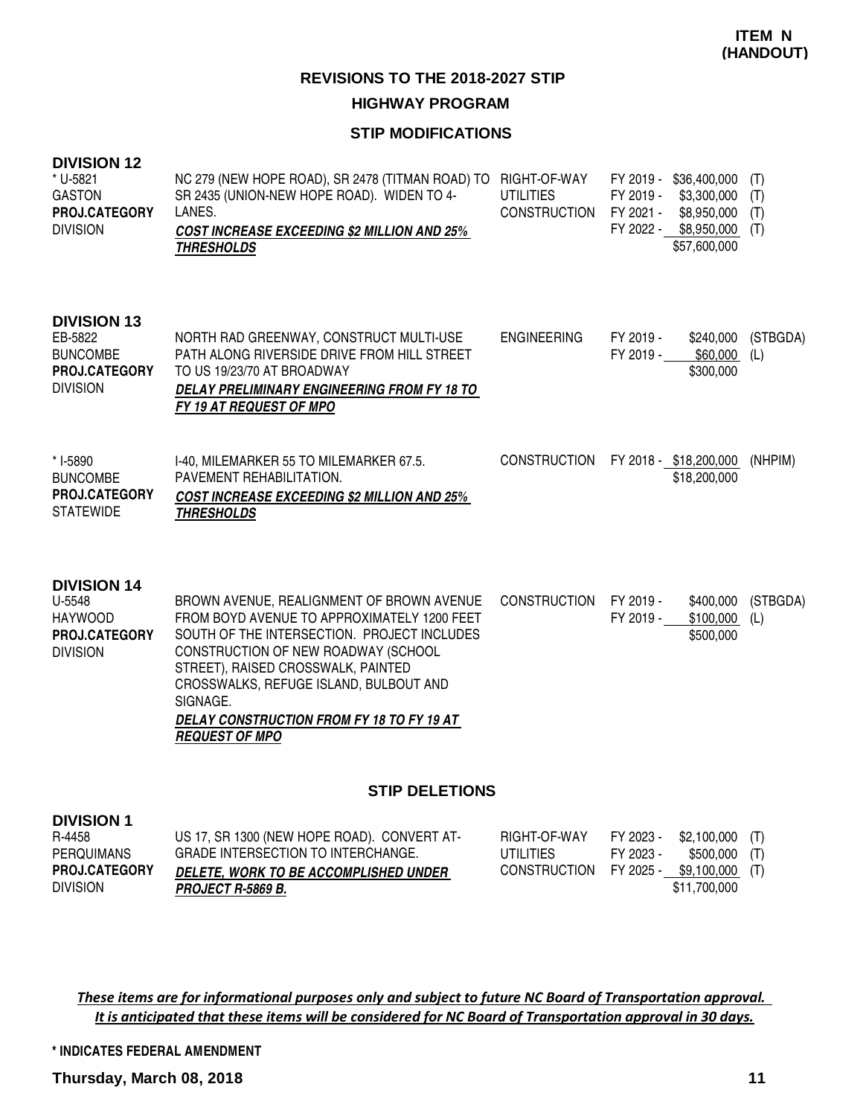## **HIGHWAY PROGRAM**

### **STIP MODIFICATIONS**

| <b>DIVISION 12</b><br>* U-5821<br><b>GASTON</b><br>PROJ.CATEGORY<br><b>DIVISION</b>  | NC 279 (NEW HOPE ROAD), SR 2478 (TITMAN ROAD) TO<br>SR 2435 (UNION-NEW HOPE ROAD). WIDEN TO 4-<br>LANES.<br><b>COST INCREASE EXCEEDING \$2 MILLION AND 25%</b><br><b>THRESHOLDS</b>                                                                                                                                                                     | RIGHT-OF-WAY<br><b>UTILITIES</b><br><b>CONSTRUCTION</b> | FY 2019 -<br>FY 2021 - | FY 2019 - \$36,400,000<br>\$3,300,000<br>\$8,950,000 (T)<br>FY 2022 - \$8,950,000 (T)<br>\$57,600,000 | (T)<br>(T)      |
|--------------------------------------------------------------------------------------|---------------------------------------------------------------------------------------------------------------------------------------------------------------------------------------------------------------------------------------------------------------------------------------------------------------------------------------------------------|---------------------------------------------------------|------------------------|-------------------------------------------------------------------------------------------------------|-----------------|
| <b>DIVISION 13</b><br>EB-5822<br><b>BUNCOMBE</b><br>PROJ.CATEGORY<br><b>DIVISION</b> | NORTH RAD GREENWAY, CONSTRUCT MULTI-USE<br>PATH ALONG RIVERSIDE DRIVE FROM HILL STREET<br>TO US 19/23/70 AT BROADWAY<br>DELAY PRELIMINARY ENGINEERING FROM FY 18 TO<br>FY 19 AT REQUEST OF MPO                                                                                                                                                          | <b>ENGINEERING</b>                                      | FY 2019 -<br>FY 2019 - | \$240,000<br>\$60,000<br>\$300,000                                                                    | (STBGDA)<br>(L) |
| * I-5890<br><b>BUNCOMBE</b><br>PROJ.CATEGORY<br><b>STATEWIDE</b>                     | I-40, MILEMARKER 55 TO MILEMARKER 67.5.<br>PAVEMENT REHABILITATION.<br><b>COST INCREASE EXCEEDING \$2 MILLION AND 25%</b><br><b>THRESHOLDS</b>                                                                                                                                                                                                          | <b>CONSTRUCTION</b>                                     |                        | FY 2018 - \$18,200,000<br>\$18,200,000                                                                | (NHPIM)         |
| <b>DIVISION 14</b><br>U-5548<br><b>HAYWOOD</b><br>PROJ.CATEGORY<br><b>DIVISION</b>   | BROWN AVENUE, REALIGNMENT OF BROWN AVENUE<br>FROM BOYD AVENUE TO APPROXIMATELY 1200 FEET<br>SOUTH OF THE INTERSECTION. PROJECT INCLUDES<br>CONSTRUCTION OF NEW ROADWAY (SCHOOL<br>STREET), RAISED CROSSWALK, PAINTED<br>CROSSWALKS, REFUGE ISLAND, BULBOUT AND<br>SIGNAGE.<br><b>DELAY CONSTRUCTION FROM FY 18 TO FY 19 AT</b><br><b>REQUEST OF MPO</b> | <b>CONSTRUCTION</b>                                     | FY 2019 -<br>FY 2019 - | \$400,000<br>\$100,000<br>\$500,000                                                                   | (STBGDA)<br>(L) |
|                                                                                      | <b>STIP DELETIONS</b>                                                                                                                                                                                                                                                                                                                                   |                                                         |                        |                                                                                                       |                 |
| <b>DIVISION 1</b><br>R-4458<br><b>PERQUIMANS</b>                                     | US 17, SR 1300 (NEW HOPE ROAD). CONVERT AT-<br>GRADE INTERSECTION TO INTERCHANGE.                                                                                                                                                                                                                                                                       | RIGHT-OF-WAY<br><b>UTILITIES</b>                        | FY 2023 -<br>FY 2023 - | \$2,100,000<br>\$500,000                                                                              | (T)<br>(T)      |

**DELETE, WORK TO BE ACCOMPLISHED UNDER** 

**PROJECT R-5869 B.**

These items are for informational purposes only and subject to future NC Board of Transportation approval. It is anticipated that these items will be considered for NC Board of Transportation approval in 30 days.

**\* INDICATES FEDERAL AMENDMENT**

**Thursday, March 08, 2018 11** 

DIVISION

**PROJ.CATEGORY**

CONSTRUCTION FY 2025 - \$9,100,000 (T)

\$11,700,000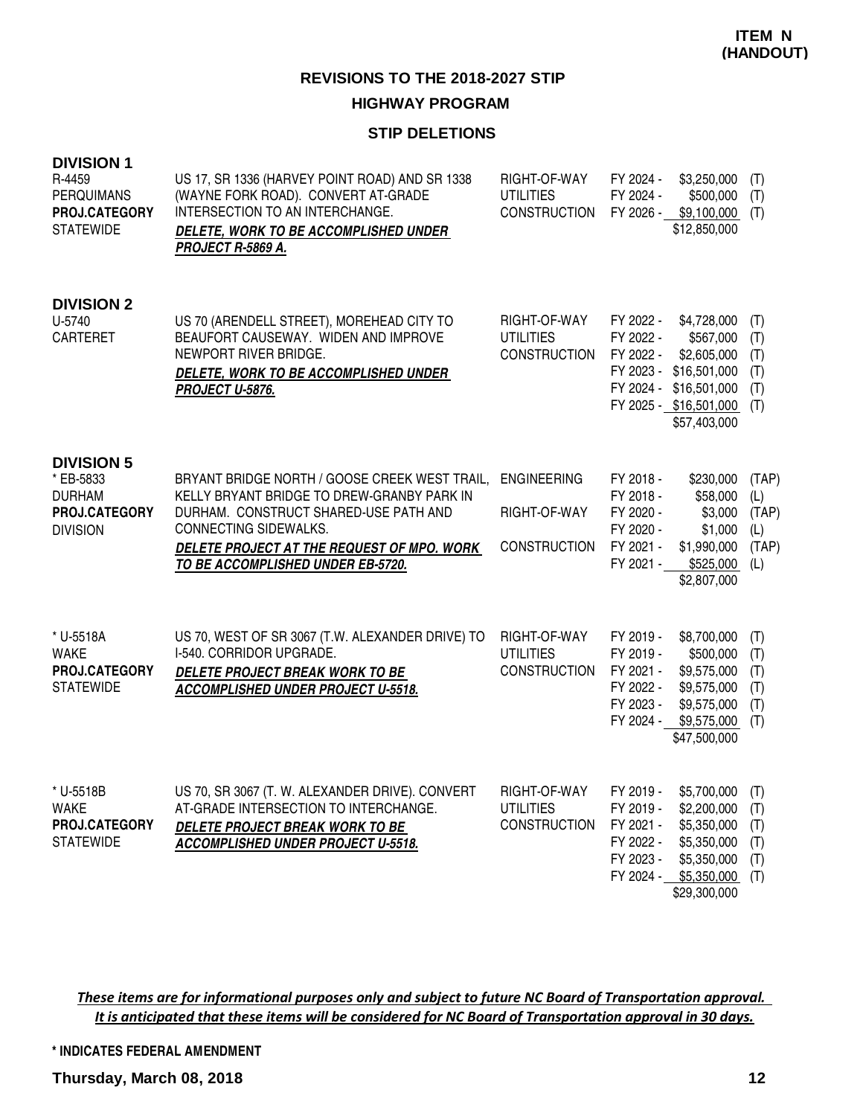### **HIGHWAY PROGRAM**

#### **STIP DELETIONS**

| <b>DIVISION 1</b><br>R-4459<br><b>PERQUIMANS</b><br>PROJ.CATEGORY<br><b>STATEWIDE</b> | US 17, SR 1336 (HARVEY POINT ROAD) AND SR 1338<br>(WAYNE FORK ROAD). CONVERT AT-GRADE<br>INTERSECTION TO AN INTERCHANGE.<br>DELETE, WORK TO BE ACCOMPLISHED UNDER<br>PROJECT R-5869 A.                                                           | RIGHT-OF-WAY<br><b>UTILITIES</b><br>CONSTRUCTION          | FY 2024 -<br>\$3,250,000<br>FY 2024 -<br>\$500,000<br>FY 2026 -<br>\$9,100,000<br>\$12,850,000                                                                                            | (T)<br>(T)<br>(T)                            |
|---------------------------------------------------------------------------------------|--------------------------------------------------------------------------------------------------------------------------------------------------------------------------------------------------------------------------------------------------|-----------------------------------------------------------|-------------------------------------------------------------------------------------------------------------------------------------------------------------------------------------------|----------------------------------------------|
| <b>DIVISION 2</b><br>U-5740<br><b>CARTERET</b>                                        | US 70 (ARENDELL STREET), MOREHEAD CITY TO<br>BEAUFORT CAUSEWAY. WIDEN AND IMPROVE<br>NEWPORT RIVER BRIDGE.<br>DELETE, WORK TO BE ACCOMPLISHED UNDER<br>PROJECT U-5876.                                                                           | RIGHT-OF-WAY<br><b>UTILITIES</b><br><b>CONSTRUCTION</b>   | FY 2022 -<br>\$4,728,000<br>FY 2022 -<br>\$567,000<br>FY 2022 -<br>\$2,605,000<br>FY 2023 -<br>\$16,501,000<br>FY 2024 -<br>\$16,501,000<br>FY 2025 - \$16,501,000<br>\$57,403,000        | (T)<br>(T)<br>(T)<br>(T)<br>(T)<br>(T)       |
| <b>DIVISION 5</b><br>* EB-5833<br><b>DURHAM</b><br>PROJ.CATEGORY<br><b>DIVISION</b>   | BRYANT BRIDGE NORTH / GOOSE CREEK WEST TRAIL,<br>KELLY BRYANT BRIDGE TO DREW-GRANBY PARK IN<br>DURHAM. CONSTRUCT SHARED-USE PATH AND<br>CONNECTING SIDEWALKS.<br>DELETE PROJECT AT THE REQUEST OF MPO. WORK<br>TO BE ACCOMPLISHED UNDER EB-5720. | <b>ENGINEERING</b><br>RIGHT-OF-WAY<br><b>CONSTRUCTION</b> | FY 2018 -<br>\$230,000<br>FY 2018 -<br>\$58,000<br>FY 2020 -<br>\$3,000<br>FY 2020 -<br>\$1,000<br>FY 2021 -<br>\$1,990,000<br>FY 2021 -<br>\$525,000<br>\$2,807,000                      | (TAP)<br>(L)<br>(TAP)<br>(L)<br>(TAP)<br>(L) |
| * U-5518A<br><b>WAKE</b><br>PROJ.CATEGORY<br><b>STATEWIDE</b>                         | US 70, WEST OF SR 3067 (T.W. ALEXANDER DRIVE) TO<br>I-540. CORRIDOR UPGRADE.<br>DELETE PROJECT BREAK WORK TO BE<br><b>ACCOMPLISHED UNDER PROJECT U-5518.</b>                                                                                     | RIGHT-OF-WAY<br><b>UTILITIES</b><br><b>CONSTRUCTION</b>   | FY 2019 -<br>\$8,700,000<br>FY 2019 -<br>\$500,000<br>FY 2021 -<br>\$9,575,000<br>FY 2022 -<br>\$9,575,000<br>FY 2023 -<br>\$9,575,000<br>FY 2024 -<br>\$9,575,000<br>\$47,500,000        | (T)<br>(T)<br>(T)<br>(T)<br>(T)<br>(T)       |
| U-5518B<br>WAKE<br>PROJ.CATEGORY<br><b>STATEWIDE</b>                                  | US 70, SR 3067 (T. W. ALEXANDER DRIVE). CONVERT<br>AT-GRADE INTERSECTION TO INTERCHANGE.<br>DELETE PROJECT BREAK WORK TO BE<br>ACCOMPLISHED UNDER PROJECT U-5518.                                                                                | RIGHT-OF-WAY<br><b>UTILITIES</b><br><b>CONSTRUCTION</b>   | FY 2019 -<br>$$5,700,000$ (T)<br>FY 2019 -<br>\$2,200,000<br>FY 2021 -<br>\$5,350,000<br>FY 2022 -<br>\$5,350,000<br>FY 2023 -<br>\$5,350,000<br>FY 2024 -<br>\$5,350,000<br>\$29,300,000 | (T)<br>(T)<br>(T)<br>(T)<br>(T)              |

These items are for informational purposes only and subject to future NC Board of Transportation approval. It is anticipated that these items will be considered for NC Board of Transportation approval in 30 days.

**\* INDICATES FEDERAL AMENDMENT**